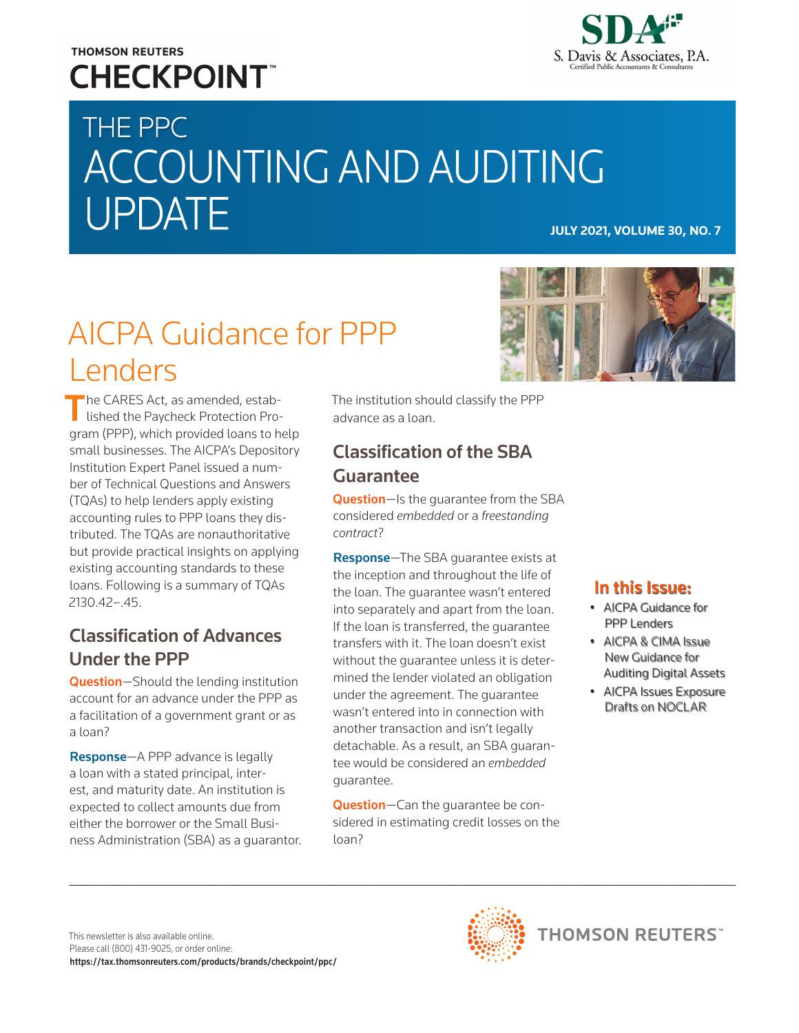# **THOMSON REUTERS CHECKPOINT**



# THE PPC ACCOUNTING AND AUDITING **UPDATE**

# AICPA Guidance for PPP Lenders

The CARES Act, as amended, established the Paycheck Protection Program (PPP), which provided loans to help small businesses. The AICPA's Depository Institution Expert Panel issued a number of Technical Questions and Answers (TQAs) to help lenders apply existing accounting rules to PPP loans they distributed. The TQAs are nonauthoritative but provide practical insights on applying existing accounting standards to these loans. Following is a summary of TQAs 2130.42–.45.

# Classification of Advances Under the PPP

Question-Should the lending institution account for an advance under the PPP as a facilitation of a government grant or as a loan?

Response—A PPP advance is legally a loan with a stated principal, interest, and maturity date. An institution is expected to collect amounts due from either the borrower or the Small Business Administration (SBA) as a guarantor. The institution should classify the PPP advance as a loan.

# Classification of the SBA Guarantee

Question-Is the quarantee from the SBA considered *embedded* or a *freestanding contract*?

Response—The SBA guarantee exists at the inception and throughout the life of the loan. The guarantee wasn't entered into separately and apart from the loan. If the loan is transferred, the guarantee transfers with it. The loan doesn't exist without the guarantee unless it is determined the lender violated an obligation under the agreement. The guarantee wasn't entered into in connection with another transaction and isn't legally detachable. As a result, an SBA guarantee would be considered an *embedded* guarantee.

Question-Can the quarantee be considered in estimating credit losses on the loan?



# In this Issue:

- AICPA Guidance for PPP Lenders
- AICPA & CIMA Issue New Guidance for Auditing Digital Assets
- AICPA Issues Exposure Drafts on NOCLAR

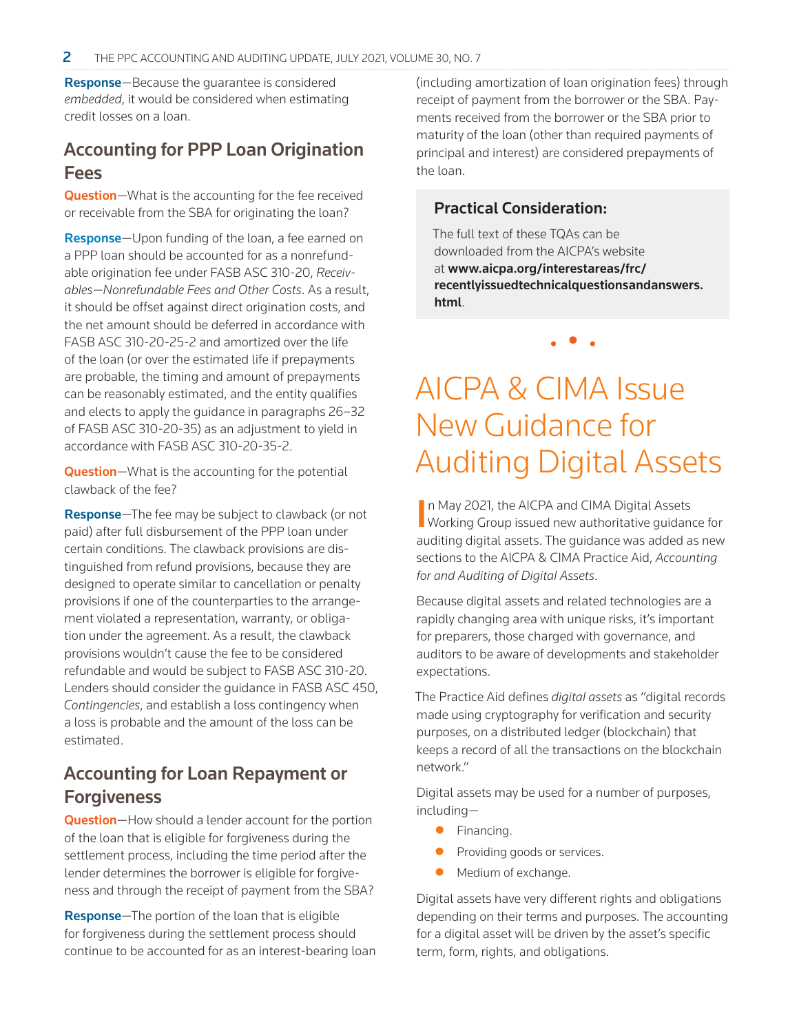Response—Because the guarantee is considered *embedded*, it would be considered when estimating credit losses on a loan.

### Accounting for PPP Loan Origination Fees

Question-What is the accounting for the fee received or receivable from the SBA for originating the loan?

Response—Upon funding of the loan, a fee earned on a PPP loan should be accounted for as a nonrefundable origination fee under FASB ASC 310-20, *Receivables—Nonrefundable Fees and Other Costs*. As a result, it should be offset against direct origination costs, and the net amount should be deferred in accordance with FASB ASC 310-20-25-2 and amortized over the life of the loan (or over the estimated life if prepayments are probable, the timing and amount of prepayments can be reasonably estimated, and the entity qualifies and elects to apply the guidance in paragraphs 26–32 of FASB ASC 310-20-35) as an adjustment to yield in accordance with FASB ASC 310-20-35-2.

Question-What is the accounting for the potential clawback of the fee?

Response—The fee may be subject to clawback (or not paid) after full disbursement of the PPP loan under certain conditions. The clawback provisions are distinguished from refund provisions, because they are designed to operate similar to cancellation or penalty provisions if one of the counterparties to the arrangement violated a representation, warranty, or obligation under the agreement. As a result, the clawback provisions wouldn't cause the fee to be considered refundable and would be subject to FASB ASC 310-20. Lenders should consider the guidance in FASB ASC 450, *Contingencies*, and establish a loss contingency when a loss is probable and the amount of the loss can be estimated.

# Accounting for Loan Repayment or **Forgiveness**

Question-How should a lender account for the portion of the loan that is eligible for forgiveness during the settlement process, including the time period after the lender determines the borrower is eligible for forgiveness and through the receipt of payment from the SBA?

Response—The portion of the loan that is eligible for forgiveness during the settlement process should continue to be accounted for as an interest-bearing loan (including amortization of loan origination fees) through receipt of payment from the borrower or the SBA. Payments received from the borrower or the SBA prior to maturity of the loan (other than required payments of principal and interest) are considered prepayments of the loan.

#### Practical Consideration:

The full text of these TQAs can be downloaded from the AICPA's website at [www.aicpa.org/interestareas/frc/](https://www.aicpa.org/interestareas/frc/recentlyissuedtechnicalquestionsandanswers.html) [recentlyissuedtechnicalquestionsandanswers.](https://www.aicpa.org/interestareas/frc/recentlyissuedtechnicalquestionsandanswers.html) [html](https://www.aicpa.org/interestareas/frc/recentlyissuedtechnicalquestionsandanswers.html).

• • •

AICPA & CIMA Issue New Guidance for Auditing Digital Assets

In May 2021, the AICPA and CIMA Digital Assets<br>Working Group issued new authoritative guidance for n May 2021, the AICPA and CIMA Digital Assets auditing digital assets. The guidance was added as new sections to the AICPA & CIMA Practice Aid, *Accounting for and Auditing of Digital Assets*.

Because digital assets and related technologies are a rapidly changing area with unique risks, it's important for preparers, those charged with governance, and auditors to be aware of developments and stakeholder expectations.

The Practice Aid defines *digital assets* as "digital records made using cryptography for verification and security purposes, on a distributed ledger (blockchain) that keeps a record of all the transactions on the blockchain network."

Digital assets may be used for a number of purposes, including—

- **•** Financing.
- **•** Providing goods or services.
- Medium of exchange.

Digital assets have very different rights and obligations depending on their terms and purposes. The accounting for a digital asset will be driven by the asset's specific term, form, rights, and obligations.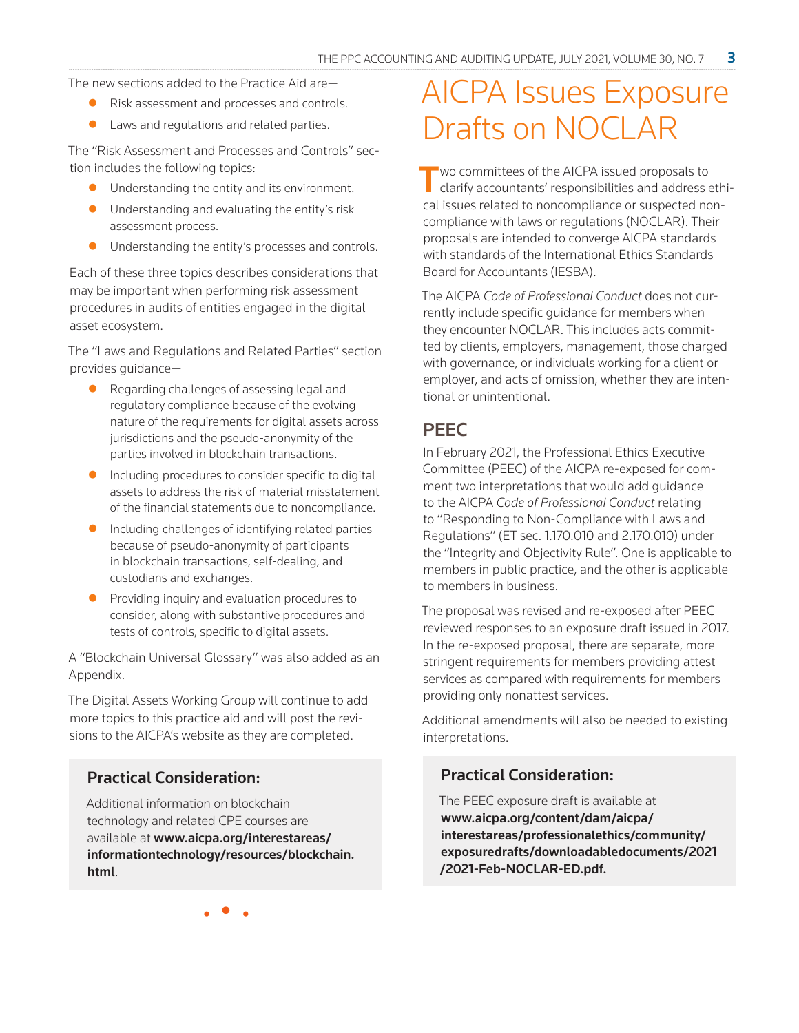The new sections added to the Practice Aid are—

- Risk assessment and processes and controls.
- $\bullet$  Laws and regulations and related parties.

The "Risk Assessment and Processes and Controls" section includes the following topics:

- $\bullet$  Understanding the entity and its environment.
- $\bullet$  Understanding and evaluating the entity's risk assessment process.
- $\bullet$  Understanding the entity's processes and controls.

Each of these three topics describes considerations that may be important when performing risk assessment procedures in audits of entities engaged in the digital asset ecosystem.

The "Laws and Regulations and Related Parties" section provides guidance—

- $\bullet$  Regarding challenges of assessing legal and regulatory compliance because of the evolving nature of the requirements for digital assets across jurisdictions and the pseudo-anonymity of the parties involved in blockchain transactions.
- $\bullet$  Including procedures to consider specific to digital assets to address the risk of material misstatement of the financial statements due to noncompliance.
- $\bullet$  Including challenges of identifying related parties because of pseudo-anonymity of participants in blockchain transactions, self-dealing, and custodians and exchanges.
- $\bullet$  Providing inquiry and evaluation procedures to consider, along with substantive procedures and tests of controls, specific to digital assets.

A "Blockchain Universal Glossary" was also added as an Appendix.

The Digital Assets Working Group will continue to add more topics to this practice aid and will post the revisions to the AICPA's website as they are completed.

### Practical Consideration:

Additional information on blockchain technology and related CPE courses are available at [www.aicpa.org/interestareas/](https://www.aicpa.org/interestareas/informationtechnology/resources/blockchain.html) [informationtechnology/resources/blockchain.](https://www.aicpa.org/interestareas/informationtechnology/resources/blockchain.html) [html](https://www.aicpa.org/interestareas/informationtechnology/resources/blockchain.html).

# AICPA Issues Exposure Drafts on NOCLAR

Two committees of the AICPA issued proposals to clarify accountants' responsibilities and address ethical issues related to noncompliance or suspected noncompliance with laws or regulations (NOCLAR). Their proposals are intended to converge AICPA standards with standards of the International Ethics Standards Board for Accountants (IESBA).

The AICPA *Code of Professional Conduct* does not currently include specific guidance for members when they encounter NOCLAR. This includes acts committed by clients, employers, management, those charged with governance, or individuals working for a client or employer, and acts of omission, whether they are intentional or unintentional.

# **PEEC**

In February 2021, the Professional Ethics Executive Committee (PEEC) of the AICPA re-exposed for comment two interpretations that would add guidance to the AICPA *Code of Professional Conduct* relating to "Responding to Non-Compliance with Laws and Regulations" (ET sec. 1.170.010 and 2.170.010) under the "Integrity and Objectivity Rule". One is applicable to members in public practice, and the other is applicable to members in business.

The proposal was revised and re-exposed after PEEC reviewed responses to an exposure draft issued in 2017. In the re-exposed proposal, there are separate, more stringent requirements for members providing attest services as compared with requirements for members providing only nonattest services.

Additional amendments will also be needed to existing interpretations.

### Practical Consideration:

The PEEC exposure draft is available at [www.aicpa.org/content/dam/aicpa/](https://www.aicpa.org/content/dam/aicpa/interestareas/professionalethics/community/exposuredrafts/downloadabledocuments/2021/2021-Feb-NOCLAR-ED.pdf) [interestareas/professionalethics/community/](https://www.aicpa.org/content/dam/aicpa/interestareas/professionalethics/community/exposuredrafts/downloadabledocuments/2021/2021-Feb-NOCLAR-ED.pdf) [exposuredrafts/downloadabledocuments/2021](https://www.aicpa.org/content/dam/aicpa/interestareas/professionalethics/community/exposuredrafts/downloadabledocuments/2021/2021-Feb-NOCLAR-ED.pdf) [/2021-Feb-NOCLAR-ED.pdf](https://www.aicpa.org/content/dam/aicpa/interestareas/professionalethics/community/exposuredrafts/downloadabledocuments/2021/2021-Feb-NOCLAR-ED.pdf).

• • •